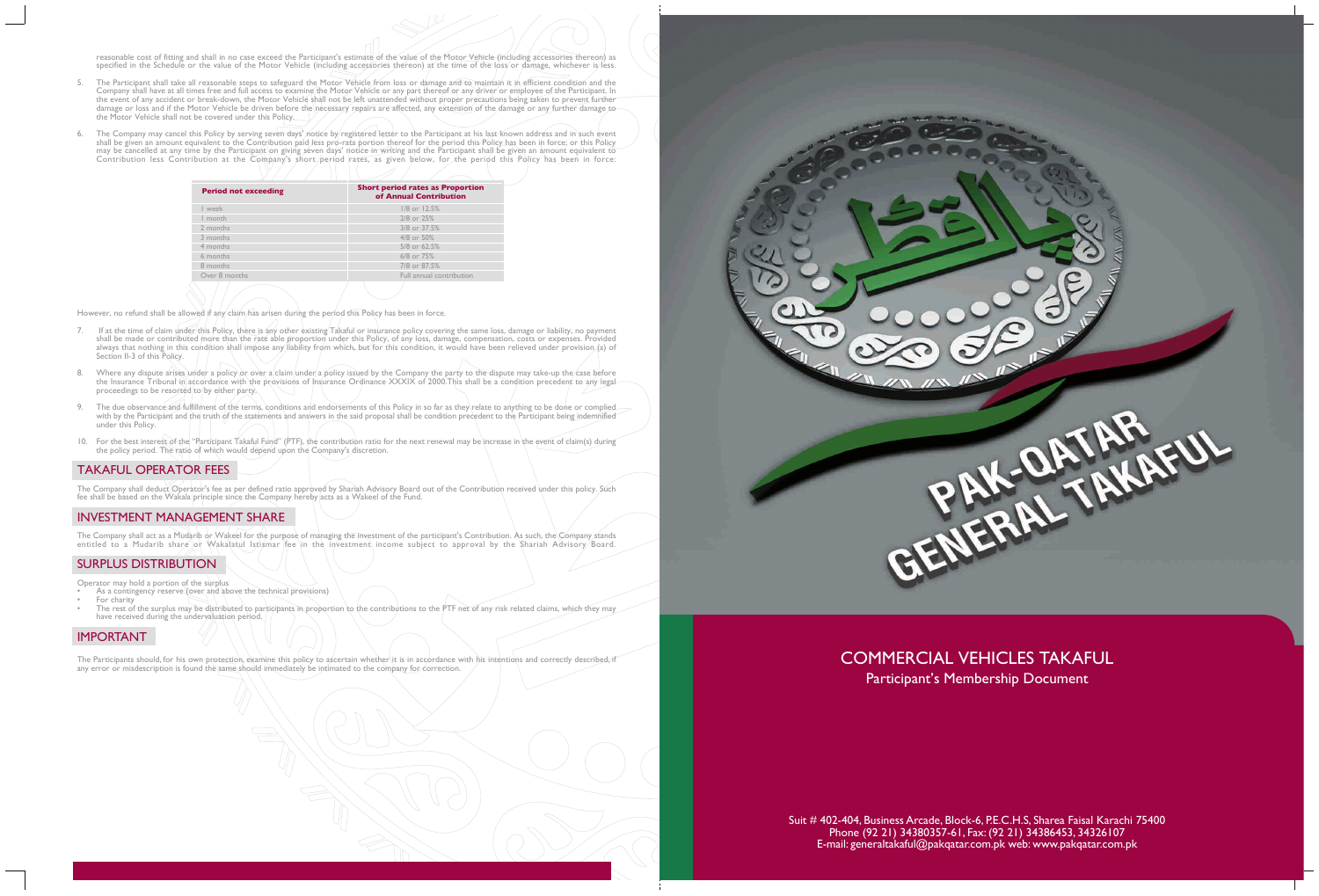reasonable cost of fitting and shall in no case exceed the Participant's estimate of the value of the Motor Vehicle (including accessories thereon) as specified in the Schedule or the value of the Motor Vehicle (including accessories thereon) at the time of the loss or damage, whichever is less.

- 5. The Participant shall take all reasonable steps to safeguard the Motor Vehicle from loss or damage and to maintain it in efficient condition and the Company shall have at all times free and full access to examine the Motor Vehicle or any part thereof or any driver or employee of the Participant. In the event of any accident or break-down, the Motor Vehicle shall not be left unattended without proper precautions being taken to prevent further damage or loss and if the Motor Vehicle be driven before the necessary repairs are affected, any extension of the damage or any further damage tothe Motor Vehicle shall not be covered under this Policy.
- 6. The Company may cancel this Policy by serving seven days' notice by registered letter to the Participant at his last known address and in such event shall be given an amount equivalent to the Contribution paid less pro-rata portion thereof for the period this Policy has been in force; or this Policy may be cancelled at any time by the Participant on giving seven days' notice in writing and the Participant shall be given an amount equivalent to Contribution less Contribution at the Company's short period rates, as given below, for the period this Policy has been in force:

However, no refund shall be allowed if any claim has arisen during the period this Policy has been in force.

The Company shall act as a Mudarib or Wakeel for the purpose of managing the investment of the participant's Contribution. As such, the Company stands entitled to a Mudarib share or Wakalatul Istismar fee in the investment income subject to approval by the Shariah Advisory/Board.

- As a contingency reserve (over and above the technical provisions) For charity
- The rest of the surplus may be distributed to participants in proportion to the contributions to the PTF net of any risk related claims, which they may have received during the undervaluation period.

The Participants should, for his own protection, examine this policy to ascertain whether it is in accordance with his intentions and correctly described, if any error or misdescription is found the same should immediately be intimated to the company for correction.





# COMMERCIAL VEHICLES TAKAFUL Participant's Membership Document

- 7. If at the time of claim under this Policy, there is any other existing Takaful or insurance policy covering the same loss, damage or liability, no payment shall be made or contributed more than the rate able proportion under this Policy, of any loss, damage, compensation, costs or expenses. Provided always that nothing in this condition shall impose any liability from which, but for this condition, it would have been relieved under provision (a) of Section II-3 of this Policy.
- 8. Where any dispute arises under a policy or over a claim under a policy issued by the Company the party to the dispute may take-up the case before the Insurance Tribunal in accordance with the provisions of Insurance Ordinance XXXIX of 2000.This shall be a condition precedent to any legal proceedings to be resorted to by either party.
- 9. The due observance and fulfillment of the terms, conditions and endorsements of this Policy in so far as they relate to anything to be done or complied with by the Participant and the truth of the statements and answers in the said proposal shall be condition precedent to the Participant being indemnified under this Policy.
- 10. For the best interest of the "Participant Takaful Fund" (PTF), the contribution ratio for the next renewal may be increase in the event of claim(s) during the policy period. The ratio of which would depend upon the Company's discretion.

# TAKAFUL OPERATOR FEES

The Company shall deduct Operator's fee as per defined ratio approved by Shariah Advisory Board out of the Contribution received under this policy. Such fee shall be based on the Wakala principle since the Company hereby acts as a Wakeel of the Fund.

# INVESTMENT MANAGEMENT SHARE

# SURPLUS DISTRIBUTION

Operator may hold a portion of the surplus

# IMPORTANT

| <b>Period not exceeding</b> | <b>Short period rates as Proportion</b><br>of Annual Contribution |
|-----------------------------|-------------------------------------------------------------------|
| week                        | $1/8$ or $12.5%$                                                  |
| I month                     | 2/8 or 25%                                                        |
| 2 months                    | 3/8 or 37.5%                                                      |
| 3 months                    | 4/8 or 50%                                                        |
| 4 months                    | 5/8 or 62.5%                                                      |
| 6 months                    | 6/8 or 75%                                                        |
| 8 months                    | 7/8 or 87.5%                                                      |
| Over 8 months               | Full annual contribution                                          |
|                             |                                                                   |

Suit # 402-404, Business Arcade, Block-6, P.E.C.H.S, Sharea Faisal Karachi 75400 Phone (92 21) 34380357-61, Fax: (92 21) 34386453, 34326107 E-mail: generaltakaful@pakqatar.com.pk web: www.pakqatar.com.pk